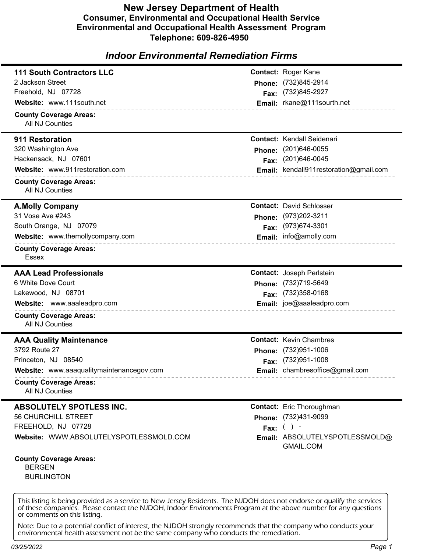## **New Jersey Department of Health Consumer, Environmental and Occupational Health Service Environmental and Occupational Health Assessment Program Telephone: 609-826-4950**

# *Indoor Environmental Remediation Firms*

| <b>Contact: Roger Kane</b><br>2 Jackson Street<br>Phone: (732)845-2914<br>Freehold, NJ 07728<br>Fax: (732)845-2927<br>Website: www.111south.net<br>Email: rkane@111sourth.net<br>________________________________<br><b>County Coverage Areas:</b><br>All NJ Counties<br><b>Contact: Kendall Seidenari</b><br>911 Restoration<br>320 Washington Ave<br>Phone: (201)646-0055<br>Hackensack, NJ 07601<br>Fax: (201)646-0045<br>Website: www.911restoration.com<br>Email: kendall911restoration@gmail.com<br>---------------------------------<br><b>County Coverage Areas:</b><br>All NJ Counties<br><b>Contact: David Schlosser</b><br><b>A.Molly Company</b><br>31 Vose Ave #243<br>Phone: (973)202-3211<br>South Orange, NJ 07079<br>Fax: (973)674-3301<br>Website: www.themollycompany.com<br>Email: info@amolly.com<br><b>County Coverage Areas:</b><br>Essex<br><b>AAA Lead Professionals</b><br><b>Contact: Joseph Peristein</b><br>6 White Dove Court<br>Phone: (732)719-5649<br>Fax: (732)358-0168<br>Lakewood, NJ 08701<br>Email: joe@aaaleadpro.com<br>Website: www.aaaleadpro.com<br>__________________________________<br><b>County Coverage Areas:</b><br>All NJ Counties<br><b>Contact: Kevin Chambres</b><br><b>AAA Quality Maintenance</b><br>3792 Route 27<br>Phone: (732)951-1006<br>Princeton, NJ 08540<br>Fax: (732)951-1008<br>Email: chambresoffice@gmail.com<br>Website: www.aaaqualitymaintenancegov.com<br><b>County Coverage Areas:</b><br>All NJ Counties<br><b>Contact:</b> Eric Thoroughman<br><b>ABSOLUTELY SPOTLESS INC.</b><br>56 CHURCHILL STREET<br>Phone: (732)431-9099<br>FREEHOLD, NJ 07728<br>Fax: $( )$ -<br>Website: WWW.ABSOLUTELYSPOTLESSMOLD.COM<br>Email: ABSOLUTELYSPOTLESSMOLD@<br>GMAIL.COM<br>______________________________<br><b>County Coverage Areas:</b> |                                  |  |
|--------------------------------------------------------------------------------------------------------------------------------------------------------------------------------------------------------------------------------------------------------------------------------------------------------------------------------------------------------------------------------------------------------------------------------------------------------------------------------------------------------------------------------------------------------------------------------------------------------------------------------------------------------------------------------------------------------------------------------------------------------------------------------------------------------------------------------------------------------------------------------------------------------------------------------------------------------------------------------------------------------------------------------------------------------------------------------------------------------------------------------------------------------------------------------------------------------------------------------------------------------------------------------------------------------------------------------------------------------------------------------------------------------------------------------------------------------------------------------------------------------------------------------------------------------------------------------------------------------------------------------------------------------------------------------------------------------------------------------------------------------------------------------------------------------------|----------------------------------|--|
|                                                                                                                                                                                                                                                                                                                                                                                                                                                                                                                                                                                                                                                                                                                                                                                                                                                                                                                                                                                                                                                                                                                                                                                                                                                                                                                                                                                                                                                                                                                                                                                                                                                                                                                                                                                                              | <b>111 South Contractors LLC</b> |  |
|                                                                                                                                                                                                                                                                                                                                                                                                                                                                                                                                                                                                                                                                                                                                                                                                                                                                                                                                                                                                                                                                                                                                                                                                                                                                                                                                                                                                                                                                                                                                                                                                                                                                                                                                                                                                              |                                  |  |
|                                                                                                                                                                                                                                                                                                                                                                                                                                                                                                                                                                                                                                                                                                                                                                                                                                                                                                                                                                                                                                                                                                                                                                                                                                                                                                                                                                                                                                                                                                                                                                                                                                                                                                                                                                                                              |                                  |  |
|                                                                                                                                                                                                                                                                                                                                                                                                                                                                                                                                                                                                                                                                                                                                                                                                                                                                                                                                                                                                                                                                                                                                                                                                                                                                                                                                                                                                                                                                                                                                                                                                                                                                                                                                                                                                              |                                  |  |
|                                                                                                                                                                                                                                                                                                                                                                                                                                                                                                                                                                                                                                                                                                                                                                                                                                                                                                                                                                                                                                                                                                                                                                                                                                                                                                                                                                                                                                                                                                                                                                                                                                                                                                                                                                                                              |                                  |  |
|                                                                                                                                                                                                                                                                                                                                                                                                                                                                                                                                                                                                                                                                                                                                                                                                                                                                                                                                                                                                                                                                                                                                                                                                                                                                                                                                                                                                                                                                                                                                                                                                                                                                                                                                                                                                              |                                  |  |
|                                                                                                                                                                                                                                                                                                                                                                                                                                                                                                                                                                                                                                                                                                                                                                                                                                                                                                                                                                                                                                                                                                                                                                                                                                                                                                                                                                                                                                                                                                                                                                                                                                                                                                                                                                                                              |                                  |  |
|                                                                                                                                                                                                                                                                                                                                                                                                                                                                                                                                                                                                                                                                                                                                                                                                                                                                                                                                                                                                                                                                                                                                                                                                                                                                                                                                                                                                                                                                                                                                                                                                                                                                                                                                                                                                              |                                  |  |
|                                                                                                                                                                                                                                                                                                                                                                                                                                                                                                                                                                                                                                                                                                                                                                                                                                                                                                                                                                                                                                                                                                                                                                                                                                                                                                                                                                                                                                                                                                                                                                                                                                                                                                                                                                                                              |                                  |  |
|                                                                                                                                                                                                                                                                                                                                                                                                                                                                                                                                                                                                                                                                                                                                                                                                                                                                                                                                                                                                                                                                                                                                                                                                                                                                                                                                                                                                                                                                                                                                                                                                                                                                                                                                                                                                              |                                  |  |
|                                                                                                                                                                                                                                                                                                                                                                                                                                                                                                                                                                                                                                                                                                                                                                                                                                                                                                                                                                                                                                                                                                                                                                                                                                                                                                                                                                                                                                                                                                                                                                                                                                                                                                                                                                                                              |                                  |  |
|                                                                                                                                                                                                                                                                                                                                                                                                                                                                                                                                                                                                                                                                                                                                                                                                                                                                                                                                                                                                                                                                                                                                                                                                                                                                                                                                                                                                                                                                                                                                                                                                                                                                                                                                                                                                              |                                  |  |
|                                                                                                                                                                                                                                                                                                                                                                                                                                                                                                                                                                                                                                                                                                                                                                                                                                                                                                                                                                                                                                                                                                                                                                                                                                                                                                                                                                                                                                                                                                                                                                                                                                                                                                                                                                                                              |                                  |  |
|                                                                                                                                                                                                                                                                                                                                                                                                                                                                                                                                                                                                                                                                                                                                                                                                                                                                                                                                                                                                                                                                                                                                                                                                                                                                                                                                                                                                                                                                                                                                                                                                                                                                                                                                                                                                              |                                  |  |
|                                                                                                                                                                                                                                                                                                                                                                                                                                                                                                                                                                                                                                                                                                                                                                                                                                                                                                                                                                                                                                                                                                                                                                                                                                                                                                                                                                                                                                                                                                                                                                                                                                                                                                                                                                                                              |                                  |  |
|                                                                                                                                                                                                                                                                                                                                                                                                                                                                                                                                                                                                                                                                                                                                                                                                                                                                                                                                                                                                                                                                                                                                                                                                                                                                                                                                                                                                                                                                                                                                                                                                                                                                                                                                                                                                              |                                  |  |
|                                                                                                                                                                                                                                                                                                                                                                                                                                                                                                                                                                                                                                                                                                                                                                                                                                                                                                                                                                                                                                                                                                                                                                                                                                                                                                                                                                                                                                                                                                                                                                                                                                                                                                                                                                                                              |                                  |  |
|                                                                                                                                                                                                                                                                                                                                                                                                                                                                                                                                                                                                                                                                                                                                                                                                                                                                                                                                                                                                                                                                                                                                                                                                                                                                                                                                                                                                                                                                                                                                                                                                                                                                                                                                                                                                              |                                  |  |
|                                                                                                                                                                                                                                                                                                                                                                                                                                                                                                                                                                                                                                                                                                                                                                                                                                                                                                                                                                                                                                                                                                                                                                                                                                                                                                                                                                                                                                                                                                                                                                                                                                                                                                                                                                                                              |                                  |  |
|                                                                                                                                                                                                                                                                                                                                                                                                                                                                                                                                                                                                                                                                                                                                                                                                                                                                                                                                                                                                                                                                                                                                                                                                                                                                                                                                                                                                                                                                                                                                                                                                                                                                                                                                                                                                              |                                  |  |
|                                                                                                                                                                                                                                                                                                                                                                                                                                                                                                                                                                                                                                                                                                                                                                                                                                                                                                                                                                                                                                                                                                                                                                                                                                                                                                                                                                                                                                                                                                                                                                                                                                                                                                                                                                                                              |                                  |  |
|                                                                                                                                                                                                                                                                                                                                                                                                                                                                                                                                                                                                                                                                                                                                                                                                                                                                                                                                                                                                                                                                                                                                                                                                                                                                                                                                                                                                                                                                                                                                                                                                                                                                                                                                                                                                              |                                  |  |
|                                                                                                                                                                                                                                                                                                                                                                                                                                                                                                                                                                                                                                                                                                                                                                                                                                                                                                                                                                                                                                                                                                                                                                                                                                                                                                                                                                                                                                                                                                                                                                                                                                                                                                                                                                                                              |                                  |  |
|                                                                                                                                                                                                                                                                                                                                                                                                                                                                                                                                                                                                                                                                                                                                                                                                                                                                                                                                                                                                                                                                                                                                                                                                                                                                                                                                                                                                                                                                                                                                                                                                                                                                                                                                                                                                              |                                  |  |
|                                                                                                                                                                                                                                                                                                                                                                                                                                                                                                                                                                                                                                                                                                                                                                                                                                                                                                                                                                                                                                                                                                                                                                                                                                                                                                                                                                                                                                                                                                                                                                                                                                                                                                                                                                                                              |                                  |  |
|                                                                                                                                                                                                                                                                                                                                                                                                                                                                                                                                                                                                                                                                                                                                                                                                                                                                                                                                                                                                                                                                                                                                                                                                                                                                                                                                                                                                                                                                                                                                                                                                                                                                                                                                                                                                              |                                  |  |
|                                                                                                                                                                                                                                                                                                                                                                                                                                                                                                                                                                                                                                                                                                                                                                                                                                                                                                                                                                                                                                                                                                                                                                                                                                                                                                                                                                                                                                                                                                                                                                                                                                                                                                                                                                                                              |                                  |  |
|                                                                                                                                                                                                                                                                                                                                                                                                                                                                                                                                                                                                                                                                                                                                                                                                                                                                                                                                                                                                                                                                                                                                                                                                                                                                                                                                                                                                                                                                                                                                                                                                                                                                                                                                                                                                              |                                  |  |
|                                                                                                                                                                                                                                                                                                                                                                                                                                                                                                                                                                                                                                                                                                                                                                                                                                                                                                                                                                                                                                                                                                                                                                                                                                                                                                                                                                                                                                                                                                                                                                                                                                                                                                                                                                                                              |                                  |  |
|                                                                                                                                                                                                                                                                                                                                                                                                                                                                                                                                                                                                                                                                                                                                                                                                                                                                                                                                                                                                                                                                                                                                                                                                                                                                                                                                                                                                                                                                                                                                                                                                                                                                                                                                                                                                              |                                  |  |
|                                                                                                                                                                                                                                                                                                                                                                                                                                                                                                                                                                                                                                                                                                                                                                                                                                                                                                                                                                                                                                                                                                                                                                                                                                                                                                                                                                                                                                                                                                                                                                                                                                                                                                                                                                                                              |                                  |  |
|                                                                                                                                                                                                                                                                                                                                                                                                                                                                                                                                                                                                                                                                                                                                                                                                                                                                                                                                                                                                                                                                                                                                                                                                                                                                                                                                                                                                                                                                                                                                                                                                                                                                                                                                                                                                              |                                  |  |
|                                                                                                                                                                                                                                                                                                                                                                                                                                                                                                                                                                                                                                                                                                                                                                                                                                                                                                                                                                                                                                                                                                                                                                                                                                                                                                                                                                                                                                                                                                                                                                                                                                                                                                                                                                                                              |                                  |  |
|                                                                                                                                                                                                                                                                                                                                                                                                                                                                                                                                                                                                                                                                                                                                                                                                                                                                                                                                                                                                                                                                                                                                                                                                                                                                                                                                                                                                                                                                                                                                                                                                                                                                                                                                                                                                              |                                  |  |
|                                                                                                                                                                                                                                                                                                                                                                                                                                                                                                                                                                                                                                                                                                                                                                                                                                                                                                                                                                                                                                                                                                                                                                                                                                                                                                                                                                                                                                                                                                                                                                                                                                                                                                                                                                                                              |                                  |  |
|                                                                                                                                                                                                                                                                                                                                                                                                                                                                                                                                                                                                                                                                                                                                                                                                                                                                                                                                                                                                                                                                                                                                                                                                                                                                                                                                                                                                                                                                                                                                                                                                                                                                                                                                                                                                              |                                  |  |
|                                                                                                                                                                                                                                                                                                                                                                                                                                                                                                                                                                                                                                                                                                                                                                                                                                                                                                                                                                                                                                                                                                                                                                                                                                                                                                                                                                                                                                                                                                                                                                                                                                                                                                                                                                                                              | <b>BERGEN</b>                    |  |
| <b>BURLINGTON</b>                                                                                                                                                                                                                                                                                                                                                                                                                                                                                                                                                                                                                                                                                                                                                                                                                                                                                                                                                                                                                                                                                                                                                                                                                                                                                                                                                                                                                                                                                                                                                                                                                                                                                                                                                                                            |                                  |  |
|                                                                                                                                                                                                                                                                                                                                                                                                                                                                                                                                                                                                                                                                                                                                                                                                                                                                                                                                                                                                                                                                                                                                                                                                                                                                                                                                                                                                                                                                                                                                                                                                                                                                                                                                                                                                              |                                  |  |

This listing is being provided as a service to New Jersey Residents. The NJDOH does not endorse or qualify the services of these companies. Please contact the NJDOH, Indoor Environments Program at the above number for any questions or comments on this listing.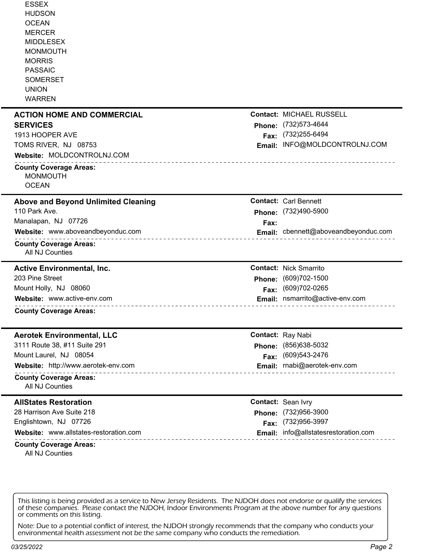| <b>ESSEX</b><br><b>HUDSON</b><br><b>OCEAN</b><br><b>MERCER</b><br><b>MIDDLESEX</b><br><b>MONMOUTH</b><br><b>MORRIS</b><br><b>PASSAIC</b><br><b>SOMERSET</b><br><b>UNION</b><br><b>WARREN</b> |      |                                      |
|----------------------------------------------------------------------------------------------------------------------------------------------------------------------------------------------|------|--------------------------------------|
| <b>ACTION HOME AND COMMERCIAL</b>                                                                                                                                                            |      | Contact: MICHAEL RUSSELL             |
| <b>SERVICES</b>                                                                                                                                                                              |      | Phone: (732)573-4644                 |
| 1913 HOOPER AVE                                                                                                                                                                              |      | Fax: (732)255-6494                   |
| TOMS RIVER, NJ 08753<br>Website: MOLDCONTROLNJ.COM                                                                                                                                           |      | Email: INFO@MOLDCONTROLNJ.COM        |
| _________________________                                                                                                                                                                    |      |                                      |
| <b>County Coverage Areas:</b><br><b>MONMOUTH</b>                                                                                                                                             |      |                                      |
| <b>OCEAN</b>                                                                                                                                                                                 |      |                                      |
| <b>Above and Beyond Unlimited Cleaning</b>                                                                                                                                                   |      | <b>Contact: Carl Bennett</b>         |
| 110 Park Ave.                                                                                                                                                                                |      | Phone: (732)490-5900                 |
| Manalapan, NJ 07726                                                                                                                                                                          | Fax: |                                      |
| Website: www.aboveandbeyonduc.com                                                                                                                                                            |      | Email: cbennett@aboveandbeyonduc.com |
| <b>County Coverage Areas:</b><br>All NJ Counties                                                                                                                                             |      |                                      |
| <b>Active Environmental, Inc.</b>                                                                                                                                                            |      | <b>Contact: Nick Smarrito</b>        |
| 203 Pine Street                                                                                                                                                                              |      | Phone: (609)702-1500                 |
| Mount Holly, NJ 08060                                                                                                                                                                        |      | Fax: (609)702-0265                   |
| Website: www.active-env.com                                                                                                                                                                  |      | Email: nsmarrito@active-env.com      |
| <b>County Coverage Areas:</b>                                                                                                                                                                |      |                                      |
| <b>Aerotek Environmental, LLC</b>                                                                                                                                                            |      | <b>Contact: Ray Nabi</b>             |
| 3111 Route 38, #11 Suite 291                                                                                                                                                                 |      | Phone: (856)638-5032                 |
| Mount Laurel, NJ 08054                                                                                                                                                                       |      | Fax: (609)543-2476                   |
| Website: http://www.aerotek-env.com                                                                                                                                                          |      | Email: rnabi@aerotek-env.com         |
| <b>County Coverage Areas:</b><br>All NJ Counties                                                                                                                                             |      |                                      |
| <b>AllStates Restoration</b>                                                                                                                                                                 |      | <b>Contact: Sean Ivry</b>            |
| 28 Harrison Ave Suite 218                                                                                                                                                                    |      | Phone: (732)956-3900                 |
| Englishtown, NJ 07726                                                                                                                                                                        |      | Fax: (732)956-3997                   |
| Website: www.allstates-restoration.com                                                                                                                                                       |      | Email: info@allstatesrestoration.com |
| <b>County Coverage Areas:</b><br>All NJ Counties                                                                                                                                             |      |                                      |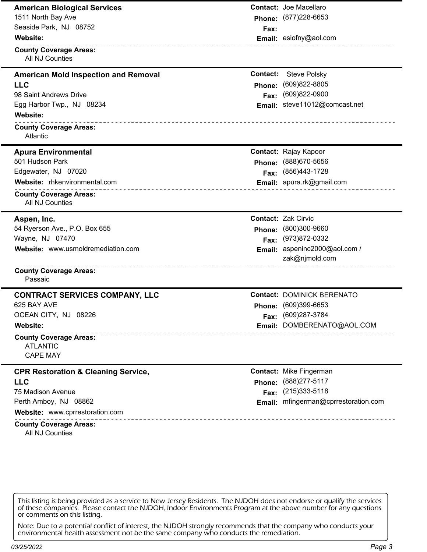| <b>American Biological Services</b>                                             |          | <b>Contact: Joe Macellaro</b>            |
|---------------------------------------------------------------------------------|----------|------------------------------------------|
| 1511 North Bay Ave                                                              |          | Phone: (877)228-6653                     |
| Seaside Park, NJ 08752                                                          | Fax:     |                                          |
| Website:                                                                        |          | Email: esiofny@aol.com                   |
| ___________________________<br><b>County Coverage Areas:</b><br>All NJ Counties |          |                                          |
| <b>American Mold Inspection and Removal</b>                                     | Contact: | <b>Steve Polsky</b>                      |
| <b>LLC</b>                                                                      | Phone:   | (609)822-8805                            |
| 98 Saint Andrews Drive                                                          | Fax:     | $(609)822 - 0900$                        |
| Egg Harbor Twp., NJ 08234                                                       | Email:   | steve11012@comcast.net                   |
| Website:                                                                        |          |                                          |
| <b>County Coverage Areas:</b><br>Atlantic                                       |          |                                          |
| <b>Apura Environmental</b>                                                      |          | <b>Contact: Rajay Kapoor</b>             |
| 501 Hudson Park                                                                 | Phone:   | (888) 670-5656                           |
| Edgewater, NJ 07020                                                             | Fax:     | (856)443-1728                            |
| Website: rhkenvironmental.com                                                   |          | Email: apura.rk@gmail.com                |
| _____________________<br><b>County Coverage Areas:</b><br>All NJ Counties       |          |                                          |
| Aspen, Inc.                                                                     |          | <b>Contact: Zak Cirvic</b>               |
| 54 Ryerson Ave., P.O. Box 655                                                   | Phone:   | (800)300-9660                            |
| Wayne, NJ 07470                                                                 | Fax:     | (973)872-0332                            |
| Website: www.usmoldremediation.com                                              | Email:   | aspeninc2000@aol.com /<br>zak@njmold.com |
| ____________________________<br><b>County Coverage Areas:</b><br>Passaic        |          |                                          |
| <b>CONTRACT SERVICES COMPANY, LLC</b>                                           |          | <b>Contact: DOMINICK BERENATO</b>        |
| 625 BAY AVE                                                                     |          | Phone: (609)399-6653                     |
| OCEAN CITY, NJ 08226                                                            |          | Fax: (609)287-3784                       |
| Website:                                                                        |          | Email: DOMBERENATO@AOL.COM               |
| <b>County Coverage Areas:</b><br><b>ATLANTIC</b><br><b>CAPE MAY</b>             |          |                                          |
| <b>CPR Restoration &amp; Cleaning Service,</b>                                  |          | <b>Contact: Mike Fingerman</b>           |
| <b>LLC</b>                                                                      |          | Phone: (888)277-5117                     |
| 75 Madison Avenue                                                               |          | Fax: (215)333-5118                       |
| Perth Amboy, NJ 08862                                                           |          | Email: mfingerman@cprrestoration.com     |
| Website: www.cprrestoration.com                                                 |          |                                          |
| <b>County Coverage Areas:</b><br>All NJ Counties                                |          |                                          |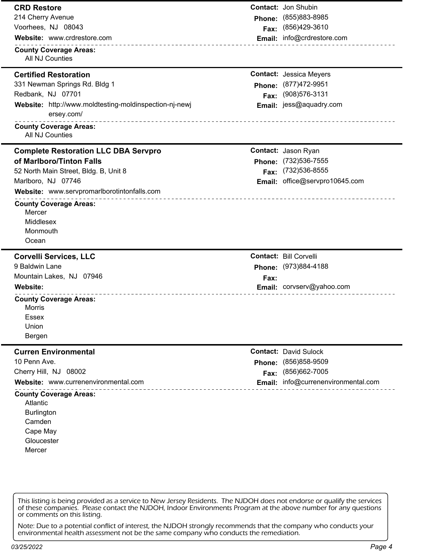## **CRD Restore**

214 Cherry Avenue Voorhees, NJ 08043

**Website:** www.crdrestore.com **Email:** info@crdrestore.com

**County Coverage Areas:** All NJ Counties

## **Certified Restoration**

331 Newman Springs Rd. Bldg 1 Redbank, NJ 07701 **Website:** http://www.moldtesting-moldinspection-nj-newj **Email:** jess@aquadry.com ersey.com/

## **County Coverage Areas:**

All NJ Counties

## **Complete Restoration LLC DBA Servpro**

### **of Marlboro/Tinton Falls**

52 North Main Street, Bldg. B, Unit 8 Marlboro, NJ 07746

**Website:** www.servpromarlborotintonfalls.com

# **County Coverage Areas:**

**Mercer** Middlesex Monmouth **Ocean** 

## **Corvelli Services, LLC**

9 Baldwin Lane

Mountain Lakes, NJ 07946

## **County Coverage Areas:**

Morris Essex Union

Bergen

### **Curren Environmental**

10 Penn Ave.

Cherry Hill, NJ 08002

**Website:** www.currenenvironmental.com **Email:** info@currenenvironmental.com

## **County Coverage Areas:**

Atlantic **Burlington** Camden Cape May **Gloucester** 

Mercer

This listing is being provided as a service to New Jersey Residents. The NJDOH does not endorse or qualify the services of these companies. Please contact the NJDOH, Indoor Environments Program at the above number for any questions or comments on this listing.

Note: Due to a potential conflict of interest, the NJDOH strongly recommends that the company who conducts your environmental health assessment not be the same company who conducts the remediation.

*03/25/2022 Page 4*

**Contact:** Jon Shubin **Phone:** (855)883-8985 **Fax:** (856)429-3610

**Contact:** Jessica Meyers **Phone:** (877)472-9951 **Fax:** (908)576-3131

**Contact:** Jason Ryan **Phone:** (732)536-7555 **Fax:** (732)536-8555 **Email:** office@servpro10645.com

\_\_\_\_\_\_\_\_\_\_\_\_\_\_\_\_\_\_\_

**Contact:** Bill Corvelli **Phone:** (973)884-4188 **Fax: Website: Email:** corvserv@yahoo.com

> **Contact:** David Sulock **Phone:** (856)858-9509 **Fax:** (856)662-7005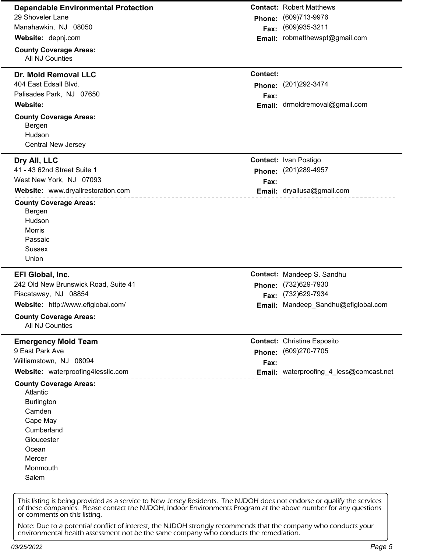| <b>Dependable Environmental Protection</b>                                                 |                 | <b>Contact: Robert Matthews</b>         |
|--------------------------------------------------------------------------------------------|-----------------|-----------------------------------------|
| 29 Shoveler Lane                                                                           | Phone:          | (609)713-9976                           |
| Manahawkin, NJ 08050                                                                       | Fax:            | (609) 935-3211                          |
| Website: depnj.com                                                                         |                 | Email: robmatthewspt@gmail.com          |
| <b>County Coverage Areas:</b><br>All NJ Counties                                           |                 |                                         |
| Dr. Mold Removal LLC                                                                       | <b>Contact:</b> |                                         |
| 404 East Edsall Blvd.                                                                      | Phone:          | (201) 292-3474                          |
| Palisades Park, NJ 07650                                                                   | Fax:            |                                         |
| <b>Website:</b>                                                                            |                 | Email: drmoldremoval@gmail.com          |
| <b>County Coverage Areas:</b>                                                              |                 |                                         |
| Bergen                                                                                     |                 |                                         |
| Hudson                                                                                     |                 |                                         |
| <b>Central New Jersey</b>                                                                  |                 |                                         |
| Dry All, LLC                                                                               |                 | <b>Contact: Ivan Postigo</b>            |
| 41 - 43 62nd Street Suite 1                                                                |                 | Phone: (201)289-4957                    |
| West New York, NJ 07093                                                                    | Fax:            |                                         |
| Website: www.dryallrestoration.com<br>_____________________________                        |                 | Email: dryallusa@gmail.com              |
| <b>County Coverage Areas:</b>                                                              |                 |                                         |
| Bergen                                                                                     |                 |                                         |
| Hudson                                                                                     |                 |                                         |
| Morris                                                                                     |                 |                                         |
| Passaic                                                                                    |                 |                                         |
|                                                                                            |                 |                                         |
| <b>Sussex</b>                                                                              |                 |                                         |
| Union                                                                                      |                 |                                         |
| EFI Global, Inc.                                                                           |                 | Contact: Mandeep S. Sandhu              |
| 242 Old New Brunswick Road, Suite 41                                                       | Phone:          | (732)629-7930                           |
| Piscataway, NJ 08854                                                                       |                 | Fax: (732)629-7934                      |
| Website: http://www.efiglobal.com/                                                         |                 | Email: Mandeep_Sandhu@efiglobal.com     |
| .<br>---------------------------------<br><b>County Coverage Areas:</b><br>All NJ Counties |                 |                                         |
| <b>Emergency Mold Team</b>                                                                 |                 | <b>Contact: Christine Esposito</b>      |
| 9 East Park Ave                                                                            | Phone:          | (609)270-7705                           |
| Williamstown, NJ 08094                                                                     | Fax:            |                                         |
| Website: waterproofing4lessllc.com                                                         |                 | Email: waterproofing_4_less@comcast.net |
| <b>County Coverage Areas:</b>                                                              |                 |                                         |
| Atlantic                                                                                   |                 |                                         |
| <b>Burlington</b>                                                                          |                 |                                         |
| Camden                                                                                     |                 |                                         |
| Cape May                                                                                   |                 |                                         |
| Cumberland                                                                                 |                 |                                         |
| Gloucester                                                                                 |                 |                                         |
| Ocean                                                                                      |                 |                                         |
| Mercer                                                                                     |                 |                                         |
| Monmouth<br>Salem                                                                          |                 |                                         |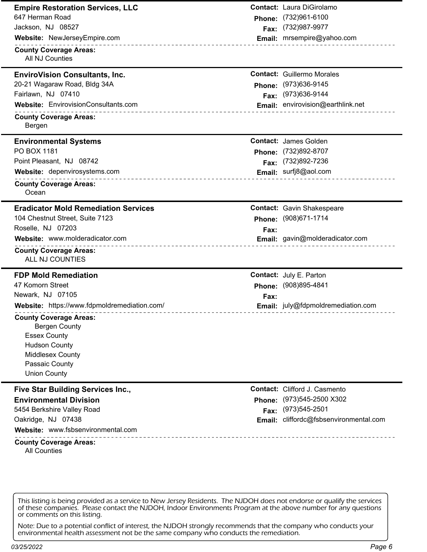| <b>Empire Restoration Services, LLC</b>                                                                                                                           |        | <b>Contact: Laura DiGirolamo</b>     |
|-------------------------------------------------------------------------------------------------------------------------------------------------------------------|--------|--------------------------------------|
| 647 Herman Road                                                                                                                                                   | Phone: | (732)961-6100                        |
| Jackson, NJ 08527                                                                                                                                                 | Fax:   | (732) 987-9977                       |
| Website: NewJerseyEmpire.com                                                                                                                                      |        | Email: mrsempire@yahoo.com           |
| _________________________<br><b>County Coverage Areas:</b><br>All NJ Counties                                                                                     |        |                                      |
| <b>EnviroVision Consultants, Inc.</b>                                                                                                                             |        | <b>Contact: Guillermo Morales</b>    |
| 20-21 Wagaraw Road, Bldg 34A                                                                                                                                      | Phone: | (973) 636-9145                       |
| Fairlawn, NJ 07410                                                                                                                                                | Fax:   | (973) 636-9144                       |
| Website: EnvirovisionConsultants.com<br>.                                                                                                                         |        | Email: envirovision@earthlink.net    |
| <b>County Coverage Areas:</b><br>Bergen                                                                                                                           |        |                                      |
| <b>Environmental Systems</b>                                                                                                                                      |        | <b>Contact: James Golden</b>         |
| PO BOX 1181                                                                                                                                                       | Phone: | (732)892-8707                        |
| Point Pleasant, NJ 08742                                                                                                                                          | Fax:   | (732)892-7236                        |
| Website: depenvirosystems.com<br>______________________                                                                                                           |        | Email: surfj8@aol.com                |
| <b>County Coverage Areas:</b><br>Ocean                                                                                                                            |        |                                      |
| <b>Eradicator Mold Remediation Services</b>                                                                                                                       |        | <b>Contact: Gavin Shakespeare</b>    |
| 104 Chestnut Street, Suite 7123                                                                                                                                   | Phone: | (908) 671-1714                       |
| Roselle, NJ 07203                                                                                                                                                 | Fax:   |                                      |
| Website: www.molderadicator.com                                                                                                                                   |        | Email: gavin@molderadicator.com      |
| <b>County Coverage Areas:</b><br>ALL NJ COUNTIES                                                                                                                  |        |                                      |
| <b>FDP Mold Remediation</b>                                                                                                                                       |        | <b>Contact: July E. Parton</b>       |
| 47 Komorn Street                                                                                                                                                  | Phone: | (908)895-4841                        |
| Newark, NJ 07105                                                                                                                                                  | Fax:   |                                      |
| Website: https://www.fdpmoldremediation.com/                                                                                                                      |        | Email: july@fdpmoldremediation.com   |
| <b>County Coverage Areas:</b><br><b>Bergen County</b><br><b>Essex County</b><br><b>Hudson County</b><br>Middlesex County<br>Passaic County<br><b>Union County</b> |        |                                      |
| Five Star Building Services Inc.,                                                                                                                                 |        | <b>Contact:</b> Clifford J. Casmento |
| <b>Environmental Division</b>                                                                                                                                     | Phone: | (973) 545-2500 X302                  |
| 5454 Berkshire Valley Road                                                                                                                                        | Fax:   | (973) 545-2501                       |
| Oakridge, NJ 07438                                                                                                                                                | Email: | cliffordc@fsbsenvironmental.com      |
| Website: www.fsbsenvironmental.com                                                                                                                                |        |                                      |
| <b>County Coverage Areas:</b><br><b>All Counties</b>                                                                                                              |        |                                      |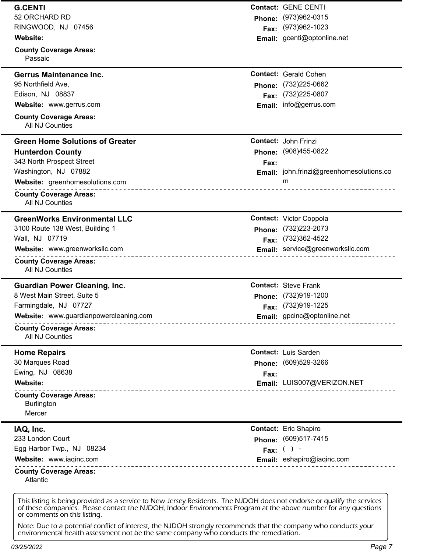| <b>G.CENTI</b>                                                 |               | <b>Contact: GENE CENTI</b>                      |
|----------------------------------------------------------------|---------------|-------------------------------------------------|
| 52 ORCHARD RD                                                  |               | Phone: (973)962-0315                            |
| RINGWOOD, NJ 07456                                             |               | Fax: (973)962-1023                              |
| Website:<br>_______________________________                    |               | Email: gcenti@optonline.net                     |
| <b>County Coverage Areas:</b><br>Passaic                       |               |                                                 |
| <b>Gerrus Maintenance Inc.</b>                                 |               | <b>Contact: Gerald Cohen</b>                    |
| 95 Northfield Ave,                                             |               | Phone: (732)225-0662                            |
| Edison, NJ 08837                                               |               | Fax: (732)225-0807                              |
| Website: www.gerrus.com<br>___________________________         |               | Email: info@gerrus.com                          |
| <b>County Coverage Areas:</b><br>All NJ Counties               |               |                                                 |
| <b>Green Home Solutions of Greater</b>                         |               | <b>Contact: John Frinzi</b>                     |
| <b>Hunterdon County</b>                                        |               | Phone: (908)455-0822                            |
| 343 North Prospect Street                                      | Fax:          |                                                 |
| Washington, NJ 07882                                           |               | <b>Email:</b> john.frinzi@greenhomesolutions.co |
| Website: greenhomesolutions.com<br>___________________________ |               | m                                               |
| <b>County Coverage Areas:</b><br>All NJ Counties               |               |                                                 |
| <b>GreenWorks Environmental LLC</b>                            |               | <b>Contact: Victor Coppola</b>                  |
| 3100 Route 138 West, Building 1                                |               | Phone: (732)223-2073                            |
| Wall, NJ 07719                                                 | Fax:          | (732)362-4522                                   |
| Website: www.greenworksllc.com<br>_________________________    |               | Email: service@greenworksllc.com                |
| <b>County Coverage Areas:</b><br>All NJ Counties               |               |                                                 |
| <b>Guardian Power Cleaning, Inc.</b>                           |               | <b>Contact: Steve Frank</b>                     |
| 8 West Main Street, Suite 5                                    |               | Phone: (732)919-1200                            |
| Farmingdale, NJ 07727                                          |               | Fax: (732)919-1225                              |
| Website: www.guardianpowercleaning.com                         |               | Email: gpcinc@optonline.net                     |
| <b>County Coverage Areas:</b><br>All NJ Counties               |               |                                                 |
| <b>Home Repairs</b>                                            |               | <b>Contact: Luis Sarden</b>                     |
| 30 Marques Road                                                | <b>Phone:</b> | (609)529-3266                                   |
| Ewing, NJ 08638                                                | Fax:          |                                                 |
| Website:<br><u>.</u>                                           |               | Email: LUIS007@VERIZON.NET                      |
| <b>County Coverage Areas:</b><br><b>Burlington</b>             |               |                                                 |
| Mercer                                                         |               |                                                 |
| IAQ, Inc.                                                      |               | <b>Contact:</b> Eric Shapiro                    |
| 233 London Court                                               |               | Phone: (609)517-7415                            |
| Egg Harbor Twp., NJ 08234                                      |               | Fax: $( )$                                      |
| Website: www.iaqinc.com                                        |               | Email: eshapiro@iaqinc.com                      |
| <b>County Coverage Areas:</b>                                  |               |                                                 |

of these companies. Please contact the NJDOH, Indoor Environments Program at the above number for any questions or comments on this listing.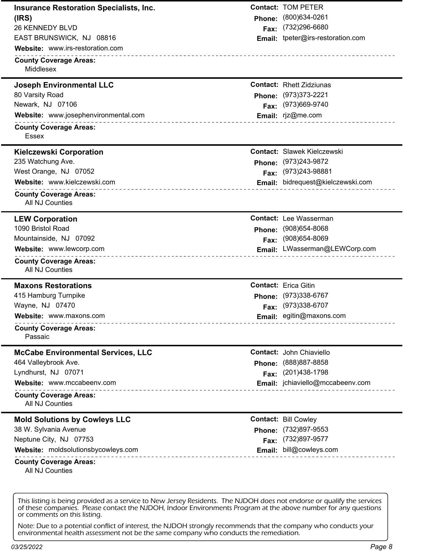| <b>Insurance Restoration Specialists, Inc.</b>      |        | <b>Contact: TOM PETER</b>                            |
|-----------------------------------------------------|--------|------------------------------------------------------|
| (IRS)                                               | Phone: | (800)634-0261                                        |
| <b>26 KENNEDY BLVD</b>                              | Fax:   | (732) 296-6680                                       |
| EAST BRUNSWICK, NJ 08816                            | Email: | tpeter@irs-restoration.com                           |
| Website: www.irs-restoration.com                    |        |                                                      |
| <b>County Coverage Areas:</b><br>Middlesex          |        |                                                      |
| <b>Joseph Environmental LLC</b>                     |        | <b>Contact: Rhett Zidziunas</b>                      |
| 80 Varsity Road                                     | Phone: | (973) 373-2221                                       |
| Newark, NJ 07106                                    | Fax:   | (973)669-9740                                        |
| Website: www.josephenvironmental.com<br><u>.</u>    |        | Email: rjz@me.com                                    |
| <b>County Coverage Areas:</b><br>Essex              |        |                                                      |
|                                                     |        |                                                      |
| <b>Kielczewski Corporation</b><br>235 Watchung Ave. |        | <b>Contact: Slawek Kielczewski</b><br>(973) 243-9872 |
| West Orange, NJ 07052                               | Phone: | (973) 243-98881                                      |
| Website: www.kielczewski.com                        | Fax:   | Email: bidrequest@kielczewski.com                    |
| .                                                   |        |                                                      |
| <b>County Coverage Areas:</b><br>All NJ Counties    |        |                                                      |
| <b>LEW Corporation</b>                              |        | <b>Contact:</b> Lee Wasserman                        |
| 1090 Bristol Road                                   | Phone: | $(908)654 - 8068$                                    |
| Mountainside, NJ 07092                              | Fax:   | (908) 654-8069                                       |
| Website: www.lewcorp.com<br>______________________  |        | Email: LWasserman@LEWCorp.com                        |
| <b>County Coverage Areas:</b><br>All NJ Counties    |        |                                                      |
| <b>Maxons Restorations</b>                          |        | <b>Contact: Erica Gitin</b>                          |
| 415 Hamburg Turnpike                                |        | Phone: (973)338-6767                                 |
| Wayne, NJ 07470                                     |        | Fax: (973)338-6707                                   |
| Website: www.maxons.com                             |        | Email: egitin@maxons.com                             |
| <b>County Coverage Areas:</b><br>Passaic            |        |                                                      |
| <b>McCabe Environmental Services, LLC</b>           |        | <b>Contact: John Chiaviello</b>                      |
| 464 Valleybrook Ave.                                | Phone: | (888) 887-8858                                       |
| Lyndhurst, NJ 07071                                 | Fax:   | (201) 438-1798                                       |
| Website: www.mccabeenv.com                          |        | Email: jchiaviello@mccabeenv.com                     |
| <b>County Coverage Areas:</b><br>All NJ Counties    |        |                                                      |
| <b>Mold Solutions by Cowleys LLC</b>                |        | <b>Contact: Bill Cowley</b>                          |
| 38 W. Sylvania Avenue                               | Phone: | (732)897-9553                                        |
| Neptune City, NJ 07753                              | Fax:   | (732)897-9577                                        |
| Website: moldsolutionsbycowleys.com<br>.            | Email: | bill@cowleys.com                                     |
| <b>County Coverage Areas:</b><br>All NJ Counties    |        |                                                      |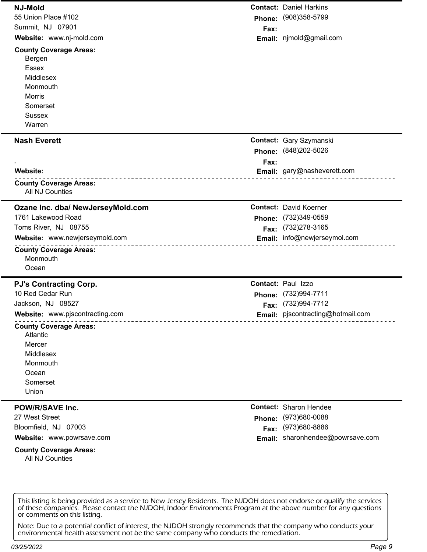| <b>NJ-Mold</b>                                                                                                                    |        | <b>Contact: Daniel Harkins</b>    |
|-----------------------------------------------------------------------------------------------------------------------------------|--------|-----------------------------------|
| 55 Union Place #102                                                                                                               |        | Phone: (908)358-5799              |
| Summit, NJ 07901                                                                                                                  | Fax:   |                                   |
| Website: www.nj-mold.com                                                                                                          |        | Email: njmold@gmail.com           |
| <b>County Coverage Areas:</b><br>Bergen<br><b>Essex</b><br>Middlesex<br>Monmouth<br>Morris<br>Somerset<br><b>Sussex</b><br>Warren |        |                                   |
| <b>Nash Everett</b>                                                                                                               |        | <b>Contact: Gary Szymanski</b>    |
|                                                                                                                                   | Phone: | (848) 202-5026                    |
|                                                                                                                                   | Fax:   |                                   |
| Website:                                                                                                                          |        | Email: gary@nasheverett.com       |
| <b>County Coverage Areas:</b><br>All NJ Counties                                                                                  |        |                                   |
| Ozane Inc. dba/ NewJerseyMold.com                                                                                                 |        | <b>Contact: David Koerner</b>     |
| 1761 Lakewood Road                                                                                                                |        | Phone: (732)349-0559              |
| Toms River, NJ 08755                                                                                                              |        | Fax: (732)278-3165                |
| Website: www.newjerseymold.com                                                                                                    |        | Email: info@newjerseymol.com      |
| ___________________________<br><b>County Coverage Areas:</b><br>Monmouth<br>Ocean                                                 |        |                                   |
| <b>PJ's Contracting Corp.</b>                                                                                                     |        | <b>Contact: Paul Izzo</b>         |
| 10 Red Cedar Run                                                                                                                  |        | Phone: (732)994-7711              |
| Jackson, NJ 08527                                                                                                                 |        | Fax: (732)994-7712                |
| Website: www.pjscontracting.com                                                                                                   |        | Email: pjscontracting@hotmail.com |
| <b>County Coverage Areas:</b><br>Atlantic<br>Mercer<br>Middlesex<br>Monmouth<br>Ocean<br>Somerset<br>Union                        |        |                                   |
| <b>POW/R/SAVE Inc.</b>                                                                                                            |        | <b>Contact: Sharon Hendee</b>     |
| 27 West Street                                                                                                                    |        | Phone: (973)680-0088              |
| Bloomfield, NJ 07003                                                                                                              |        | Fax: (973)680-8886                |
| Website: www.powrsave.com                                                                                                         |        | Email: sharonhendee@powrsave.com  |
| <b>County Coverage Areas:</b><br>All NJ Counties                                                                                  |        |                                   |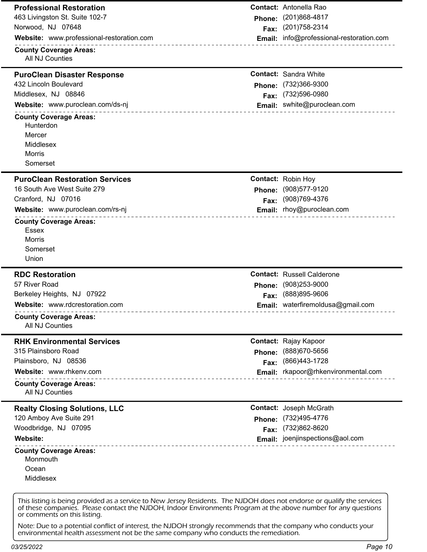| <b>Professional Restoration</b>                                  |        | <b>Contact:</b> Antonella Rao            |
|------------------------------------------------------------------|--------|------------------------------------------|
| 463 Livingston St. Suite 102-7                                   |        | Phone: (201)868-4817                     |
| Norwood, NJ 07648                                                | Fax:   | (201) 758-2314                           |
| Website: www.professional-restoration.com                        |        | Email: info@professional-restoration.com |
| <b>County Coverage Areas:</b><br>All NJ Counties                 |        |                                          |
| <b>PuroClean Disaster Response</b>                               |        | <b>Contact: Sandra White</b>             |
| 432 Lincoln Boulevard                                            |        | Phone: (732)366-9300                     |
| Middlesex, NJ 08846                                              | Fax:   | (732) 596-0980                           |
| Website: www.puroclean.com/ds-nj                                 |        | Email: swhite@puroclean.com              |
| <b>County Coverage Areas:</b><br>Hunterdon                       |        |                                          |
| Mercer                                                           |        |                                          |
| Middlesex                                                        |        |                                          |
| Morris                                                           |        |                                          |
| Somerset                                                         |        |                                          |
| <b>PuroClean Restoration Services</b>                            |        | <b>Contact: Robin Hoy</b>                |
| 16 South Ave West Suite 279                                      | Phone: | (908)577-9120                            |
| Cranford, NJ 07016                                               | Fax:   | (908) 769-4376                           |
| Website: www.puroclean.com/rs-nj                                 |        | Email: rhoy@puroclean.com                |
| ___________________<br><b>County Coverage Areas:</b>             |        |                                          |
| Essex                                                            |        |                                          |
| <b>Morris</b><br>Somerset                                        |        |                                          |
| Union                                                            |        |                                          |
|                                                                  |        |                                          |
| <b>RDC Restoration</b><br>57 River Road                          |        | <b>Contact: Russell Calderone</b>        |
|                                                                  |        | Phone: (908)253-9000<br>(888) 895-9606   |
|                                                                  |        |                                          |
| Berkeley Heights, NJ 07922                                       | Fax:   |                                          |
| Website: www.rdcrestoration.com<br><b>County Coverage Areas:</b> |        | Email: waterfiremoldusa@gmail.com        |
| All NJ Counties                                                  |        |                                          |
| <b>RHK Environmental Services</b><br>315 Plainsboro Road         |        | <b>Contact: Rajay Kapoor</b>             |
| Plainsboro, NJ 08536                                             | Phone: | (888) 670-5656<br>(866) 443-1728         |
| Website: www.rhkenv.com                                          | Fax:   | Email: rkapoor@rhkenvironmental.com      |
| .<br><b>County Coverage Areas:</b><br>All NJ Counties            |        |                                          |
| <b>Realty Closing Solutions, LLC</b>                             |        | <b>Contact: Joseph McGrath</b>           |
| 120 Amboy Ave Suite 291                                          | Phone: | (732)495-4776                            |
| Woodbridge, NJ 07095                                             | Fax:   | (732)862-8620                            |
| Website:                                                         |        | Email: joenjinspections@aol.com          |
| <b>County Coverage Areas:</b><br>Monmouth                        |        |                                          |
| Ocean                                                            |        |                                          |
| Middlesex                                                        |        |                                          |

of these companies. Please contact the NJDOH, Indoor Environments Program at the above number for any questions or comments on this listing.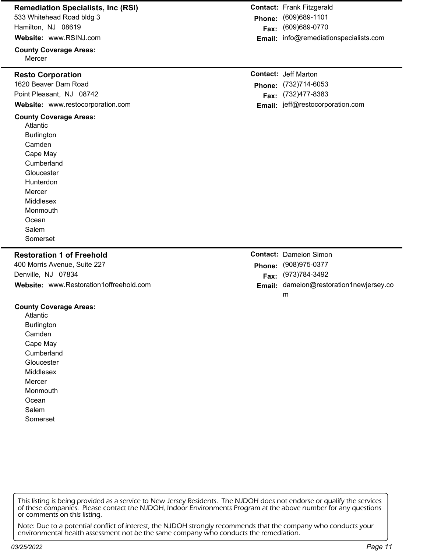| <b>Remediation Specialists, Inc (RSI)</b><br>533 Whitehead Road bldg 3 |        | <b>Contact: Frank Fitzgerald</b>                   |
|------------------------------------------------------------------------|--------|----------------------------------------------------|
| Hamilton, NJ 08619                                                     | Phone: | (609) 689-1101<br>(609)689-0770                    |
| Website: www.RSINJ.com                                                 | Fax:   | Email: info@remediationspecialists.com             |
|                                                                        |        |                                                    |
| <b>County Coverage Areas:</b><br>Mercer                                |        |                                                    |
|                                                                        |        |                                                    |
| <b>Resto Corporation</b><br>1620 Beaver Dam Road                       |        | <b>Contact: Jeff Marton</b>                        |
| Point Pleasant, NJ 08742                                               |        | Phone: (732)714-6053                               |
| Website: www.restocorporation.com                                      | Fax:   | (732) 477-8383<br>Email: jeff@restocorporation.com |
| ______________________                                                 |        |                                                    |
| <b>County Coverage Areas:</b><br>Atlantic                              |        |                                                    |
| <b>Burlington</b>                                                      |        |                                                    |
| Camden                                                                 |        |                                                    |
| Cape May                                                               |        |                                                    |
| Cumberland                                                             |        |                                                    |
| Gloucester                                                             |        |                                                    |
| Hunterdon                                                              |        |                                                    |
| Mercer                                                                 |        |                                                    |
| Middlesex                                                              |        |                                                    |
| Monmouth                                                               |        |                                                    |
| Ocean                                                                  |        |                                                    |
| Salem                                                                  |        |                                                    |
|                                                                        |        |                                                    |
| Somerset                                                               |        |                                                    |
| <b>Restoration 1 of Freehold</b>                                       |        | <b>Contact: Dameion Simon</b>                      |
| 400 Morris Avenue, Suite 227                                           |        |                                                    |
| Denville, NJ 07834                                                     |        | Phone: (908)975-0377<br>(973) 784-3492             |
| Website: www.Restoration1offreehold.com                                | Fax:   | Email: dameion@restoration1newjersey.co            |
|                                                                        |        | m                                                  |
| ______________________<br><b>County Coverage Areas:</b>                |        | ----------------                                   |
| Atlantic                                                               |        |                                                    |
| <b>Burlington</b>                                                      |        |                                                    |
| Camden                                                                 |        |                                                    |
| Cape May                                                               |        |                                                    |
| Cumberland                                                             |        |                                                    |
| Gloucester                                                             |        |                                                    |
| Middlesex                                                              |        |                                                    |
| Mercer                                                                 |        |                                                    |
| Monmouth                                                               |        |                                                    |
| Ocean                                                                  |        |                                                    |
| Salem                                                                  |        |                                                    |
| Somerset                                                               |        |                                                    |
|                                                                        |        |                                                    |
|                                                                        |        |                                                    |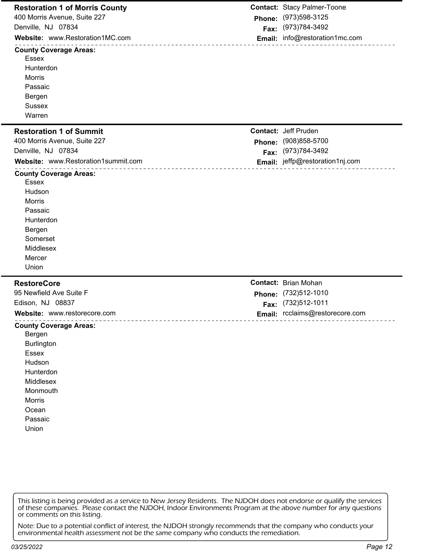| <b>Restoration 1 of Morris County</b>                                                                                                                               |        | <b>Contact: Stacy Palmer-Toone</b>    |
|---------------------------------------------------------------------------------------------------------------------------------------------------------------------|--------|---------------------------------------|
| 400 Morris Avenue, Suite 227                                                                                                                                        | Phone: | (973) 598-3125                        |
| Denville, NJ 07834                                                                                                                                                  | Fax:   | (973)784-3492                         |
| Website: www.Restoration1MC.com                                                                                                                                     |        | Email: info@restoration1mc.com        |
| _________________________<br><b>County Coverage Areas:</b><br><b>Essex</b><br>Hunterdon<br>Morris<br>Passaic<br>Bergen<br><b>Sussex</b><br>Warren                   |        |                                       |
|                                                                                                                                                                     |        | <b>Contact: Jeff Pruden</b>           |
| <b>Restoration 1 of Summit</b><br>400 Morris Avenue, Suite 227                                                                                                      |        |                                       |
| Denville, NJ 07834                                                                                                                                                  |        | Phone: (908)858-5700<br>(973)784-3492 |
| Website: www.Restoration1summit.com                                                                                                                                 | Fax:   | Email: jeffp@restoration1nj.com       |
| __________________                                                                                                                                                  |        |                                       |
| <b>County Coverage Areas:</b><br>Essex<br>Hudson<br><b>Morris</b><br>Passaic<br>Hunterdon<br>Bergen<br>Somerset<br>Middlesex<br>Mercer<br>Union                     |        |                                       |
| <b>RestoreCore</b>                                                                                                                                                  |        | <b>Contact: Brian Mohan</b>           |
| 95 Newfield Ave Suite F                                                                                                                                             | Phone: | (732)512-1010                         |
| Edison, NJ 08837                                                                                                                                                    |        | Fax: (732)512-1011                    |
| Website: www.restorecore.com                                                                                                                                        |        | Email: rcclaims@restorecore.com       |
| <b>County Coverage Areas:</b><br>Bergen<br><b>Burlington</b><br><b>Essex</b><br>Hudson<br>Hunterdon<br>Middlesex<br>Monmouth<br>Morris<br>Ocean<br>Passaic<br>Union |        |                                       |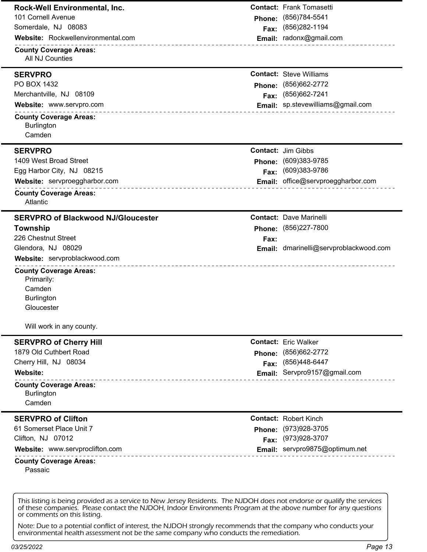| Rock-Well Environmental, Inc.<br>101 Cornell Avenue<br>Somerdale, NJ 08083<br>Website: Rockwellenvironmental.com<br>_______________________<br><b>County Coverage Areas:</b><br>All NJ Counties                                                             | Phone:<br>Fax: | <b>Contact: Frank Tomasetti</b><br>(856) 784-5541<br>(856) 282-1194<br>Email: radonx@gmail.com          |
|-------------------------------------------------------------------------------------------------------------------------------------------------------------------------------------------------------------------------------------------------------------|----------------|---------------------------------------------------------------------------------------------------------|
| <b>SERVPRO</b><br>PO BOX 1432<br>Merchantville, NJ 08109<br>Website: www.servpro.com<br><b>County Coverage Areas:</b><br><b>Burlington</b><br>Camden                                                                                                        | Phone:<br>Fax: | <b>Contact: Steve Williams</b><br>(856) 662-2772<br>(856) 662-7241<br>Email: sp.stevewilliams@gmail.com |
| <b>SERVPRO</b><br>1409 West Broad Street<br>Egg Harbor City, NJ 08215<br>Website: servproeggharbor.com<br>________________________<br><b>County Coverage Areas:</b><br>Atlantic                                                                             | Phone:<br>Fax: | <b>Contact: Jim Gibbs</b><br>(609)383-9785<br>(609)383-9786<br>Email: office@servproeggharbor.com       |
| <b>SERVPRO of Blackwood NJ/Gloucester</b><br>Township<br>226 Chestnut Street<br>Glendora, NJ 08029<br>Website: servproblackwood.com<br><b>County Coverage Areas:</b><br>Primarily:<br>Camden<br><b>Burlington</b><br>Gloucester<br>Will work in any county. | Fax:           | <b>Contact: Dave Marinelli</b><br>Phone: (856)227-7800<br>Email: dmarinelli@servproblackwood.com        |
| <b>SERVPRO of Cherry Hill</b><br>1879 Old Cuthbert Road<br>Cherry Hill, NJ 08034<br>Website:<br><b>County Coverage Areas:</b><br><b>Burlington</b><br>Camden                                                                                                | Phone:<br>Fax: | <b>Contact: Eric Walker</b><br>(856) 662-2772<br>(856)448-6447<br>Email: Servpro9157@gmail.com          |
| <b>SERVPRO of Clifton</b><br>61 Somerset Place Unit 7<br>Clifton, NJ 07012<br>Website: www.servproclifton.com<br>____________________<br><b>County Coverage Areas:</b><br>Passaic                                                                           | Phone:<br>Fax: | <b>Contact: Robert Kinch</b><br>(973) 928-3705<br>(973) 928-3707<br>Email: servpro9875@optimum.net      |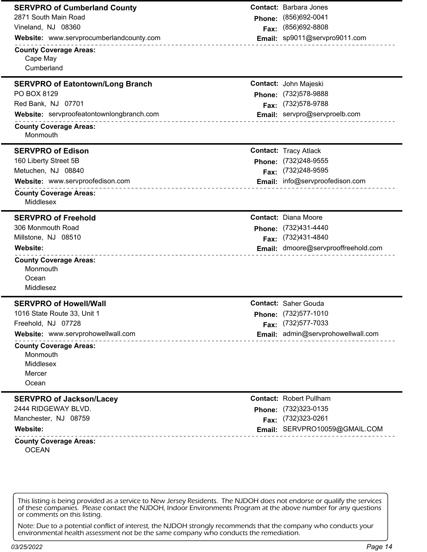| <b>SERVPRO of Cumberland County</b>                       |               | <b>Contact:</b> Barbara Jones       |
|-----------------------------------------------------------|---------------|-------------------------------------|
| 2871 South Main Road                                      |               | Phone: (856)692-0041                |
| Vineland, NJ 08360                                        | Fax:          | (856) 692-8808                      |
| Website: www.servprocumberlandcounty.com                  |               | Email: sp9011@servpro9011.com       |
| <b>County Coverage Areas:</b>                             |               |                                     |
| Cape May                                                  |               |                                     |
| Cumberland                                                |               |                                     |
| <b>SERVPRO of Eatontown/Long Branch</b>                   |               | Contact: John Majeski               |
| PO BOX 8129                                               |               | Phone: (732)578-9888                |
| Red Bank, NJ 07701                                        | Fax:          | (732) 578-9788                      |
| Website: servproofeatontownlongbranch.com                 |               | Email: servpro@servproelb.com       |
| <b>County Coverage Areas:</b>                             |               |                                     |
| Monmouth                                                  |               |                                     |
| <b>SERVPRO of Edison</b>                                  |               | <b>Contact: Tracy Atlack</b>        |
| 160 Liberty Street 5B                                     |               | Phone: (732)248-9555                |
| Metuchen, NJ 08840                                        | Fax:          | (732) 248-9595                      |
| Website: www.servproofedison.com<br>_____________________ |               | Email: info@servproofedison.com     |
| <b>County Coverage Areas:</b><br>Middlesex                |               |                                     |
| <b>SERVPRO of Freehold</b>                                |               | <b>Contact: Diana Moore</b>         |
| 306 Monmouth Road                                         |               | Phone: (732)431-4440                |
| Millstone, NJ 08510                                       |               | Fax: (732)431-4840                  |
| Website:<br>________________________________              |               | Email: dmoore@servprooffreehold.com |
| <b>County Coverage Areas:</b>                             |               |                                     |
| Monmouth                                                  |               |                                     |
| Ocean                                                     |               |                                     |
| Middlesez                                                 |               |                                     |
| <b>SERVPRO of Howell/Wall</b>                             |               | <b>Contact: Saher Gouda</b>         |
| 1016 State Route 33, Unit 1                               |               | Phone: (732)577-1010                |
| Freehold, NJ 07728                                        |               | Fax: (732)577-7033                  |
| Website: www.servprohowellwall.com                        |               | Email: admin@servprohowellwall.com  |
| <b>County Coverage Areas:</b>                             |               |                                     |
| Monmouth                                                  |               |                                     |
| Middlesex                                                 |               |                                     |
| Mercer                                                    |               |                                     |
| Ocean                                                     |               |                                     |
| <b>SERVPRO of Jackson/Lacey</b>                           |               | <b>Contact: Robert Pullham</b>      |
| 2444 RIDGEWAY BLVD.                                       | <b>Phone:</b> | (732) 323-0135                      |
| Manchester, NJ 08759                                      |               | Fax: (732)323-0261                  |
| Website:                                                  |               | Email: SERVPRO10059@GMAIL.COM       |
| <b>County Coverage Areas:</b><br><b>OCEAN</b>             |               |                                     |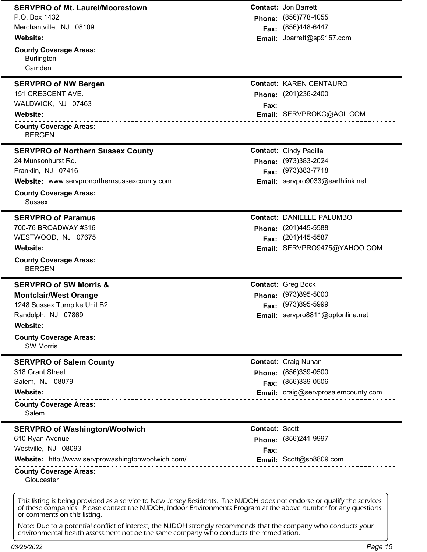| <b>SERVPRO of Mt. Laurel/Moorestown</b>                                                                                                                                                                                                                                    |                       | <b>Contact: Jon Barrett</b>             |
|----------------------------------------------------------------------------------------------------------------------------------------------------------------------------------------------------------------------------------------------------------------------------|-----------------------|-----------------------------------------|
| P.O. Box 1432                                                                                                                                                                                                                                                              |                       | Phone: (856)778-4055                    |
| Merchantville, NJ 08109                                                                                                                                                                                                                                                    |                       | Fax: (856)448-6447                      |
| Website:                                                                                                                                                                                                                                                                   |                       | Email: Jbarrett@sp9157.com              |
| ---------------------------------<br><b>County Coverage Areas:</b>                                                                                                                                                                                                         |                       |                                         |
| <b>Burlington</b>                                                                                                                                                                                                                                                          |                       |                                         |
| Camden                                                                                                                                                                                                                                                                     |                       |                                         |
| <b>SERVPRO of NW Bergen</b>                                                                                                                                                                                                                                                |                       | <b>Contact: KAREN CENTAURO</b>          |
| 151 CRESCENT AVE.                                                                                                                                                                                                                                                          |                       | Phone: (201)236-2400                    |
| WALDWICK, NJ 07463                                                                                                                                                                                                                                                         | Fax:                  |                                         |
| Website:                                                                                                                                                                                                                                                                   |                       | Email: SERVPROKC@AOL.COM                |
| <b>County Coverage Areas:</b><br><b>BERGEN</b>                                                                                                                                                                                                                             |                       |                                         |
| <b>SERVPRO of Northern Sussex County</b>                                                                                                                                                                                                                                   |                       | <b>Contact: Cindy Padilla</b>           |
| 24 Munsonhurst Rd.                                                                                                                                                                                                                                                         |                       | Phone: (973)383-2024                    |
| Franklin, NJ 07416                                                                                                                                                                                                                                                         |                       | Fax: (973)383-7718                      |
| Website: www.servpronorthernsussexcounty.com                                                                                                                                                                                                                               |                       | <b>Email:</b> servpro9033@earthlink.net |
| <b>County Coverage Areas:</b><br><b>Sussex</b>                                                                                                                                                                                                                             |                       |                                         |
| <b>SERVPRO of Paramus</b>                                                                                                                                                                                                                                                  |                       | <b>Contact: DANIELLE PALUMBO</b>        |
| 700-76 BROADWAY #316                                                                                                                                                                                                                                                       |                       | Phone: (201)445-5588                    |
| WESTWOOD, NJ 07675                                                                                                                                                                                                                                                         |                       | Fax: (201)445-5587                      |
| Website:                                                                                                                                                                                                                                                                   |                       | Email: SERVPRO9475@YAHOO.COM            |
| <b>County Coverage Areas:</b><br><b>BERGEN</b>                                                                                                                                                                                                                             |                       |                                         |
| <b>SERVPRO of SW Morris &amp;</b>                                                                                                                                                                                                                                          |                       | <b>Contact: Greg Bock</b>               |
| <b>Montclair/West Orange</b>                                                                                                                                                                                                                                               |                       | Phone: (973)895-5000                    |
| 1248 Sussex Turnpike Unit B2                                                                                                                                                                                                                                               |                       | Fax: (973)895-5999                      |
| Randolph, NJ 07869                                                                                                                                                                                                                                                         |                       | <b>Email:</b> servpro8811@optonline.net |
| Website:                                                                                                                                                                                                                                                                   |                       |                                         |
| <b>County Coverage Areas:</b><br><b>SW Morris</b>                                                                                                                                                                                                                          |                       |                                         |
| <b>SERVPRO of Salem County</b>                                                                                                                                                                                                                                             |                       | <b>Contact: Craig Nunan</b>             |
| 318 Grant Street                                                                                                                                                                                                                                                           | Phone:                | $(856)339-0500$                         |
| Salem, NJ 08079                                                                                                                                                                                                                                                            | Fax:                  | (856)339-0506                           |
| Website:                                                                                                                                                                                                                                                                   |                       | Email: craig@servprosalemcounty.com     |
| <b>County Coverage Areas:</b><br>Salem                                                                                                                                                                                                                                     |                       |                                         |
| <b>SERVPRO of Washington/Woolwich</b>                                                                                                                                                                                                                                      | <b>Contact: Scott</b> |                                         |
| 610 Ryan Avenue                                                                                                                                                                                                                                                            |                       | Phone: (856)241-9997                    |
| Westville, NJ 08093                                                                                                                                                                                                                                                        | Fax:                  |                                         |
| Website: http://www.servprowashingtonwoolwich.com/                                                                                                                                                                                                                         |                       | Email: Scott@sp8809.com                 |
| <b>County Coverage Areas:</b><br>Gloucester                                                                                                                                                                                                                                |                       |                                         |
| This listing is being provided as a service to New Jersey Residents. The NJDOH does not endorse or qualify the services<br>of these companies. Please contact the NJDOH, Indoor Environments Program at the above number for any questions<br>or comments on this listing. |                       |                                         |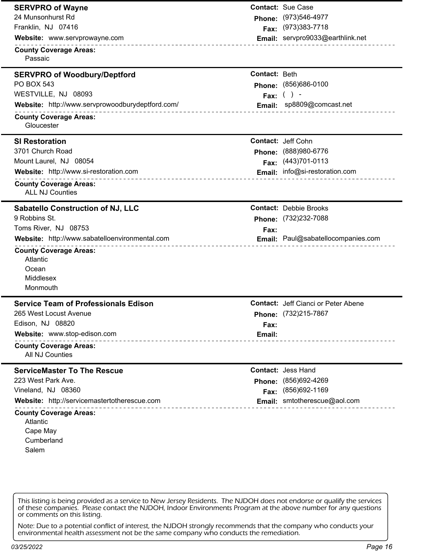| <b>SERVPRO of Wayne</b>                                                |               | <b>Contact: Sue Case</b>                   |
|------------------------------------------------------------------------|---------------|--------------------------------------------|
| 24 Munsonhurst Rd                                                      |               | Phone: (973)546-4977                       |
| Franklin, NJ 07416                                                     |               | Fax: (973)383-7718                         |
| Website: www.servprowayne.com                                          |               | Email: servpro9033@earthlink.net           |
| <b>County Coverage Areas:</b>                                          |               |                                            |
| Passaic                                                                |               |                                            |
| <b>SERVPRO of Woodbury/Deptford</b>                                    | Contact: Beth |                                            |
| <b>PO BOX 543</b>                                                      |               | Phone: (856)686-0100                       |
| WESTVILLE, NJ 08093                                                    |               | Fax: $( ) -$                               |
| Website: http://www.servprowoodburydeptford.com/<br>.                  |               | Email: sp8809@comcast.net                  |
| <b>County Coverage Areas:</b>                                          |               |                                            |
| Gloucester                                                             |               |                                            |
| <b>SI Restoration</b>                                                  |               | <b>Contact: Jeff Cohn</b>                  |
| 3701 Church Road                                                       |               | Phone: (888)980-6776                       |
| Mount Laurel, NJ 08054                                                 |               | Fax: (443)701-0113                         |
| Website: http://www.si-restoration.com                                 |               | Email: info@si-restoration.com             |
| <b>County Coverage Areas:</b>                                          |               |                                            |
| <b>ALL NJ Counties</b>                                                 |               |                                            |
| Sabatello Construction of NJ, LLC                                      |               | <b>Contact: Debbie Brooks</b>              |
| 9 Robbins St.                                                          |               | Phone: (732)232-7088                       |
| Toms River, NJ 08753                                                   | Fax:          |                                            |
| Website: http://www.sabatelloenvironmental.com                         |               | Email: Paul@sabatellocompanies.com         |
| <b>County Coverage Areas:</b>                                          |               |                                            |
| Atlantic                                                               |               |                                            |
| Ocean                                                                  |               |                                            |
| <b>Middlesex</b><br>Monmouth                                           |               |                                            |
|                                                                        |               |                                            |
| <b>Service Team of Professionals Edison</b>                            |               | <b>Contact:</b> Jeff Cianci or Peter Abene |
| 265 West Locust Avenue                                                 |               | Phone: (732)215-7867                       |
| Edison, NJ 08820                                                       | Fax:          |                                            |
| Website: www.stop-edison.com<br>____________________________           | Email:        | ____________________                       |
| <b>County Coverage Areas:</b>                                          |               |                                            |
| <b>All NJ Counties</b>                                                 |               |                                            |
| <b>ServiceMaster To The Rescue</b>                                     |               | <b>Contact: Jess Hand</b>                  |
| 223 West Park Ave.                                                     |               | Phone: (856)692-4269                       |
| Vineland, NJ 08360                                                     |               | Fax: (856)692-1169                         |
| Website: http://servicemastertotherescue.com<br>______________________ |               | Email: smtotherescue@aol.com               |
| <b>County Coverage Areas:</b>                                          |               |                                            |
| Atlantic                                                               |               |                                            |
| Cape May<br>Cumberland                                                 |               |                                            |
| Salem                                                                  |               |                                            |
|                                                                        |               |                                            |
|                                                                        |               |                                            |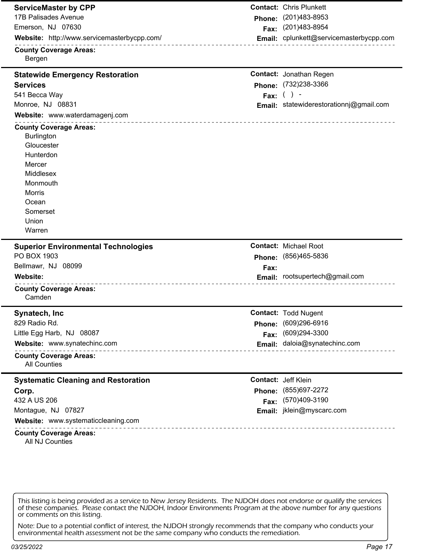| <b>ServiceMaster by CPP</b>                                      |            | <b>Contact: Chris Plunkett</b>                      |
|------------------------------------------------------------------|------------|-----------------------------------------------------|
| <b>17B Palisades Avenue</b>                                      |            | Phone: (201)483-8953                                |
| Emerson, NJ 07630                                                |            | Fax: (201)483-8954                                  |
| Website: http://www.servicemasterbycpp.com/                      |            | Email: cplunkett@servicemasterbycpp.com             |
| <b>County Coverage Areas:</b><br>Bergen                          |            |                                                     |
| <b>Statewide Emergency Restoration</b>                           |            | <b>Contact: Jonathan Regen</b>                      |
| <b>Services</b>                                                  |            | Phone: (732)238-3366                                |
| 541 Becca Way                                                    | Fax: $( )$ |                                                     |
| Monroe, NJ 08831                                                 |            | Email: statewiderestorationnj@gmail.com             |
| Website: www.waterdamagenj.com                                   |            |                                                     |
| <b>County Coverage Areas:</b>                                    |            |                                                     |
| <b>Burlington</b>                                                |            |                                                     |
| Gloucester                                                       |            |                                                     |
| Hunterdon                                                        |            |                                                     |
| Mercer                                                           |            |                                                     |
| Middlesex                                                        |            |                                                     |
| Monmouth                                                         |            |                                                     |
| Morris                                                           |            |                                                     |
| Ocean                                                            |            |                                                     |
| Somerset                                                         |            |                                                     |
| Union                                                            |            |                                                     |
|                                                                  |            |                                                     |
| Warren                                                           |            |                                                     |
| <b>Superior Environmental Technologies</b>                       |            | <b>Contact: Michael Root</b>                        |
| PO BOX 1903                                                      |            | Phone: (856)465-5836                                |
| Bellmawr, NJ 08099                                               | Fax:       |                                                     |
| Website:                                                         |            | Email: rootsupertech@gmail.com                      |
| _______________________________<br><b>County Coverage Areas:</b> |            |                                                     |
| Camden                                                           |            |                                                     |
| Synatech, Inc.                                                   |            | <b>Contact: Todd Nugent</b>                         |
| 829 Radio Rd.                                                    |            | Phone: (609)296-6916                                |
| Little Egg Harb, NJ 08087                                        |            |                                                     |
| Website: www.synatechinc.com                                     |            | Fax: (609)294-3300<br>Email: daloia@synatechinc.com |
| <b>County Coverage Areas:</b><br><b>All Counties</b>             |            |                                                     |
| <b>Systematic Cleaning and Restoration</b>                       |            | <b>Contact: Jeff Klein</b>                          |
| Corp.                                                            |            | Phone: (855)697-2272                                |
| 432 A US 206                                                     |            |                                                     |
| Montague, NJ 07827                                               |            | Fax: (570)409-3190<br>Email: jklein@myscarc.com     |
| Website: www.systematiccleaning.com                              |            |                                                     |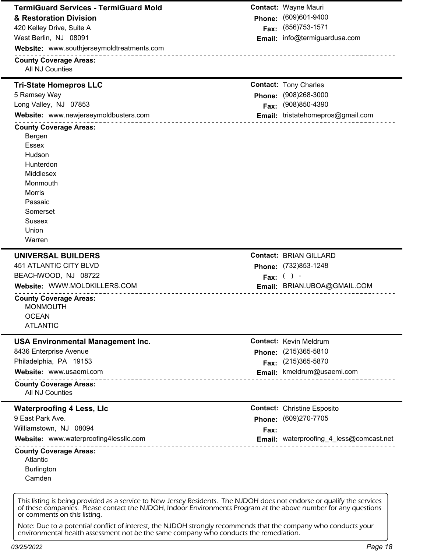| Phone: (609)601-9400<br>(856) 753-1571<br>Email: info@termiguardusa.com<br><b>Contact: Tony Charles</b><br>Phone: (908)268-3000<br>(908)850-4390<br>Email: tristatehomepros@gmail.com |
|---------------------------------------------------------------------------------------------------------------------------------------------------------------------------------------|
|                                                                                                                                                                                       |
|                                                                                                                                                                                       |
|                                                                                                                                                                                       |
|                                                                                                                                                                                       |
|                                                                                                                                                                                       |
|                                                                                                                                                                                       |
|                                                                                                                                                                                       |
|                                                                                                                                                                                       |
|                                                                                                                                                                                       |
|                                                                                                                                                                                       |
|                                                                                                                                                                                       |
|                                                                                                                                                                                       |
|                                                                                                                                                                                       |
|                                                                                                                                                                                       |
|                                                                                                                                                                                       |
|                                                                                                                                                                                       |
|                                                                                                                                                                                       |
|                                                                                                                                                                                       |
|                                                                                                                                                                                       |
|                                                                                                                                                                                       |
|                                                                                                                                                                                       |
|                                                                                                                                                                                       |
| <b>Contact: BRIAN GILLARD</b>                                                                                                                                                         |
| Phone: (732)853-1248                                                                                                                                                                  |
|                                                                                                                                                                                       |
|                                                                                                                                                                                       |
| Fax: $( )$ -                                                                                                                                                                          |
| Email: BRIAN.UBOA@GMAIL.COM                                                                                                                                                           |
|                                                                                                                                                                                       |
|                                                                                                                                                                                       |
|                                                                                                                                                                                       |
| <b>Contact: Kevin Meldrum</b>                                                                                                                                                         |
|                                                                                                                                                                                       |
| (215) 365-5810                                                                                                                                                                        |
| (215) 365-5870                                                                                                                                                                        |
| Email: kmeldrum@usaemi.com                                                                                                                                                            |
|                                                                                                                                                                                       |
|                                                                                                                                                                                       |
| <b>Contact: Christine Esposito</b>                                                                                                                                                    |
| (609)270-7705                                                                                                                                                                         |
|                                                                                                                                                                                       |
| <b>Email:</b> waterproofing_4_less@comcast.net                                                                                                                                        |
|                                                                                                                                                                                       |
|                                                                                                                                                                                       |
|                                                                                                                                                                                       |
| Phone:<br>Fax:<br>Phone:<br>Fax:                                                                                                                                                      |